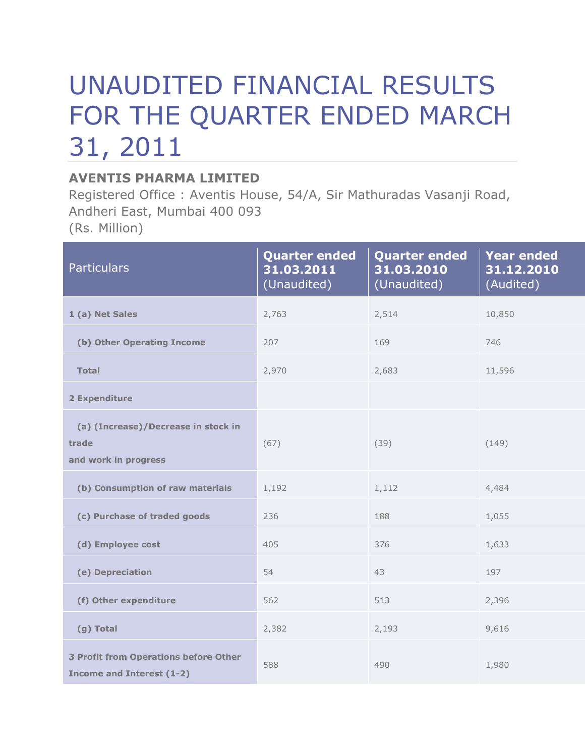## UNAUDITED FINANCIAL RESULTS FOR THE QUARTER ENDED MARCH 31, 2011

## **AVENTIS PHARMA LIMITED**

Registered Office : Aventis House, 54/A, Sir Mathuradas Vasanji Road, Andheri East, Mumbai 400 093 (Rs. Million)

| <b>Particulars</b>                                                               | <b>Quarter ended</b><br>31.03.2011<br>(Unaudited) | <b>Quarter ended</b><br>31.03.2010<br>(Unaudited) | <b>Year ended</b><br>31.12.2010<br>(Audited) |
|----------------------------------------------------------------------------------|---------------------------------------------------|---------------------------------------------------|----------------------------------------------|
| 1 (a) Net Sales                                                                  | 2,763                                             | 2,514                                             | 10,850                                       |
| (b) Other Operating Income                                                       | 207                                               | 169                                               | 746                                          |
| <b>Total</b>                                                                     | 2,970                                             | 2,683                                             | 11,596                                       |
| 2 Expenditure                                                                    |                                                   |                                                   |                                              |
| (a) (Increase)/Decrease in stock in<br>trade<br>and work in progress             | (67)                                              | (39)                                              | (149)                                        |
| (b) Consumption of raw materials                                                 | 1,192                                             | 1,112                                             | 4,484                                        |
| (c) Purchase of traded goods                                                     | 236                                               | 188                                               | 1,055                                        |
| (d) Employee cost                                                                | 405                                               | 376                                               | 1,633                                        |
| (e) Depreciation                                                                 | 54                                                | 43                                                | 197                                          |
| (f) Other expenditure                                                            | 562                                               | 513                                               | 2,396                                        |
| (g) Total                                                                        | 2,382                                             | 2,193                                             | 9,616                                        |
| <b>3 Profit from Operations before Other</b><br><b>Income and Interest (1-2)</b> | 588                                               | 490                                               | 1,980                                        |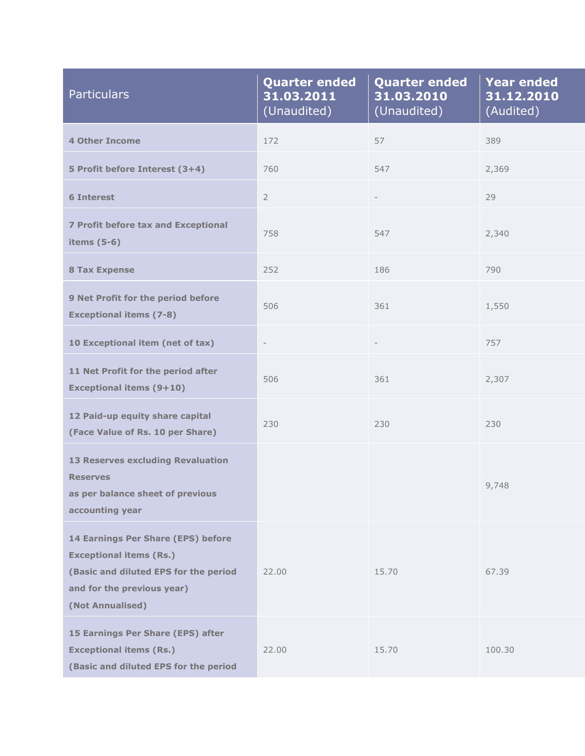| <b>Particulars</b>                                                                                                                                              | <b>Quarter ended</b><br>31.03.2011<br>(Unaudited) | <b>Quarter ended</b><br>31.03.2010<br>(Unaudited) | <b>Year ended</b><br>31.12.2010<br>(Audited) |
|-----------------------------------------------------------------------------------------------------------------------------------------------------------------|---------------------------------------------------|---------------------------------------------------|----------------------------------------------|
| <b>4 Other Income</b>                                                                                                                                           | 172                                               | 57                                                | 389                                          |
| 5 Profit before Interest (3+4)                                                                                                                                  | 760                                               | 547                                               | 2,369                                        |
| <b>6 Interest</b>                                                                                                                                               | $\overline{2}$                                    | $\overline{\phantom{a}}$                          | 29                                           |
| <b>7 Profit before tax and Exceptional</b><br>items $(5-6)$                                                                                                     | 758                                               | 547                                               | 2,340                                        |
| <b>8 Tax Expense</b>                                                                                                                                            | 252                                               | 186                                               | 790                                          |
| 9 Net Profit for the period before<br><b>Exceptional items (7-8)</b>                                                                                            | 506                                               | 361                                               | 1,550                                        |
| 10 Exceptional item (net of tax)                                                                                                                                | $\overline{\phantom{a}}$                          |                                                   | 757                                          |
| 11 Net Profit for the period after<br><b>Exceptional items (9+10)</b>                                                                                           | 506                                               | 361                                               | 2,307                                        |
| 12 Paid-up equity share capital<br>(Face Value of Rs. 10 per Share)                                                                                             | 230                                               | 230                                               | 230                                          |
| <b>13 Reserves excluding Revaluation</b><br><b>Reserves</b><br>as per balance sheet of previous<br>accounting year                                              |                                                   |                                                   | 9,748                                        |
| 14 Earnings Per Share (EPS) before<br><b>Exceptional items (Rs.)</b><br>(Basic and diluted EPS for the period<br>and for the previous year)<br>(Not Annualised) | 22.00                                             | 15.70                                             | 67.39                                        |
| 15 Earnings Per Share (EPS) after<br><b>Exceptional items (Rs.)</b><br>(Basic and diluted EPS for the period                                                    | 22.00                                             | 15.70                                             | 100.30                                       |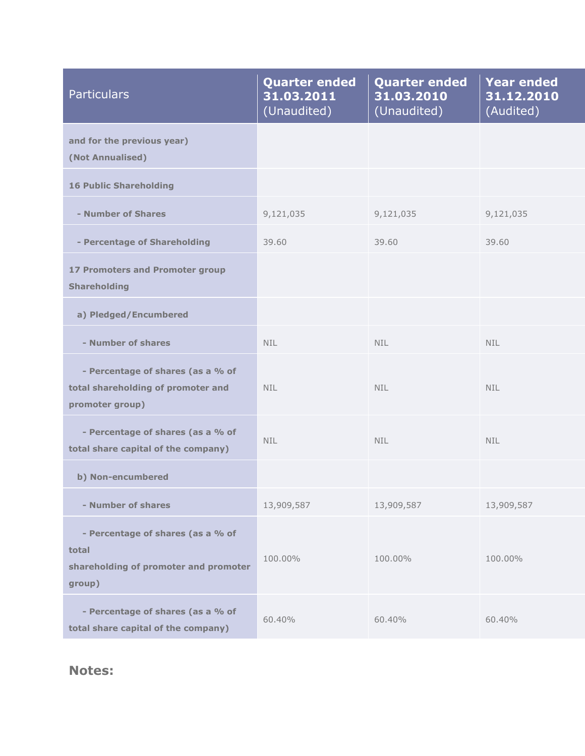| <b>Particulars</b>                                                                            | <b>Quarter ended</b><br>31.03.2011<br>(Unaudited) | <b>Quarter ended</b><br>31.03.2010<br>(Unaudited) | <b>Year ended</b><br>31.12.2010<br>(Audited) |
|-----------------------------------------------------------------------------------------------|---------------------------------------------------|---------------------------------------------------|----------------------------------------------|
| and for the previous year)<br>(Not Annualised)                                                |                                                   |                                                   |                                              |
| <b>16 Public Shareholding</b>                                                                 |                                                   |                                                   |                                              |
| - Number of Shares                                                                            | 9,121,035                                         | 9,121,035                                         | 9,121,035                                    |
| - Percentage of Shareholding                                                                  | 39.60                                             | 39.60                                             | 39.60                                        |
| <b>17 Promoters and Promoter group</b><br><b>Shareholding</b>                                 |                                                   |                                                   |                                              |
| a) Pledged/Encumbered                                                                         |                                                   |                                                   |                                              |
| - Number of shares                                                                            | <b>NIL</b>                                        | <b>NIL</b>                                        | NIL.                                         |
| - Percentage of shares (as a % of<br>total shareholding of promoter and<br>promoter group)    | NIL.                                              | <b>NIL</b>                                        | NIL.                                         |
| - Percentage of shares (as a % of<br>total share capital of the company)                      | <b>NIL</b>                                        | <b>NIL</b>                                        | NIL.                                         |
| b) Non-encumbered                                                                             |                                                   |                                                   |                                              |
| - Number of shares                                                                            | 13,909,587                                        | 13,909,587                                        | 13,909,587                                   |
| - Percentage of shares (as a % of<br>total<br>shareholding of promoter and promoter<br>group) | 100.00%                                           | 100.00%                                           | 100.00%                                      |
| - Percentage of shares (as a % of<br>total share capital of the company)                      | 60.40%                                            | 60.40%                                            | 60.40%                                       |

**Notes:**